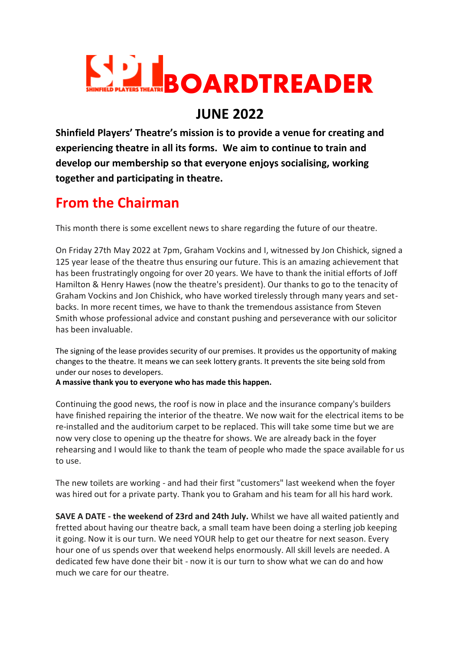

## **JUNE 2022**

**Shinfield Players' Theatre's mission is to provide a venue for creating and experiencing theatre in all its forms. We aim to continue to train and develop our membership so that everyone enjoys socialising, working together and participating in theatre.**

# **From the Chairman**

This month there is some excellent news to share regarding the future of our theatre.

On Friday 27th May 2022 at 7pm, Graham Vockins and I, witnessed by Jon Chishick, signed a 125 year lease of the theatre thus ensuring our future. This is an amazing achievement that has been frustratingly ongoing for over 20 years. We have to thank the initial efforts of Joff Hamilton & Henry Hawes (now the theatre's president). Our thanks to go to the tenacity of Graham Vockins and Jon Chishick, who have worked tirelessly through many years and setbacks. In more recent times, we have to thank the tremendous assistance from Steven Smith whose professional advice and constant pushing and perseverance with our solicitor has been invaluable.

The signing of the lease provides security of our premises. It provides us the opportunity of making changes to the theatre. It means we can seek lottery grants. It prevents the site being sold from under our noses to developers.

**A massive thank you to everyone who has made this happen.**

Continuing the good news, the roof is now in place and the insurance company's builders have finished repairing the interior of the theatre. We now wait for the electrical items to be re-installed and the auditorium carpet to be replaced. This will take some time but we are now very close to opening up the theatre for shows. We are already back in the foyer rehearsing and I would like to thank the team of people who made the space available for us to use.

The new toilets are working - and had their first "customers" last weekend when the foyer was hired out for a private party. Thank you to Graham and his team for all his hard work.

**SAVE A DATE - the weekend of 23rd and 24th July.** Whilst we have all waited patiently and fretted about having our theatre back, a small team have been doing a sterling job keeping it going. Now it is our turn. We need YOUR help to get our theatre for next season. Every hour one of us spends over that weekend helps enormously. All skill levels are needed. A dedicated few have done their bit - now it is our turn to show what we can do and how much we care for our theatre.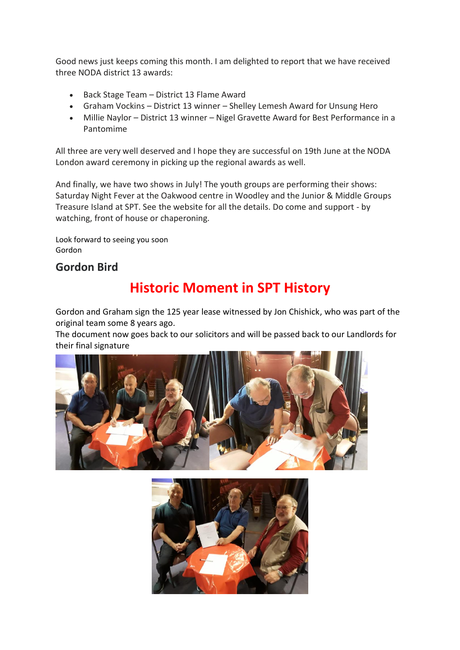Good news just keeps coming this month. I am delighted to report that we have received three NODA district 13 awards:

- Back Stage Team District 13 Flame Award
- Graham Vockins District 13 winner Shelley Lemesh Award for Unsung Hero
- Millie Naylor District 13 winner Nigel Gravette Award for Best Performance in a Pantomime

All three are very well deserved and I hope they are successful on 19th June at the NODA London award ceremony in picking up the regional awards as well.

And finally, we have two shows in July! The youth groups are performing their shows: Saturday Night Fever at the Oakwood centre in Woodley and the Junior & Middle Groups Treasure Island at SPT. See the website for all the details. Do come and support - by watching, front of house or chaperoning.

Look forward to seeing you soon Gordon

### **Gordon Bird**

# **Historic Moment in SPT History**

Gordon and Graham sign the 125 year lease witnessed by Jon Chishick, who was part of the original team some 8 years ago.

The document now goes back to our solicitors and will be passed back to our Landlords for their final signature



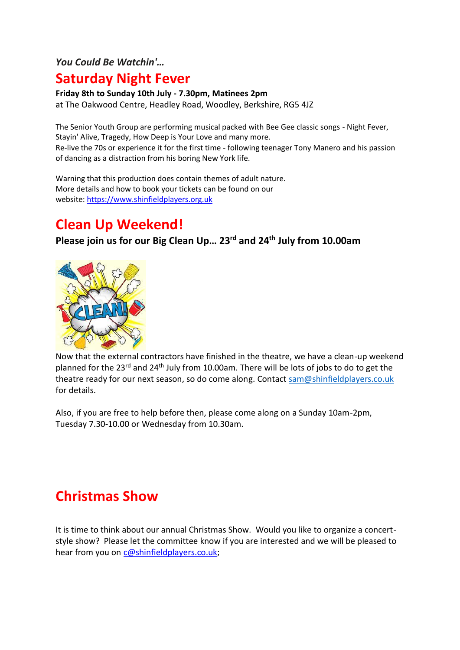### *You Could Be Watchin'…*

### **Saturday Night Fever**

#### **Friday 8th to Sunday 10th July - 7.30pm, Matinees 2pm**

at The Oakwood Centre, Headley Road, Woodley, Berkshire, RG5 4JZ

The Senior Youth Group are performing musical packed with Bee Gee classic songs - Night Fever, Stayin' Alive, Tragedy, How Deep is Your Love and many more. Re-live the 70s or experience it for the first time - following teenager Tony Manero and his passion of dancing as a distraction from his boring New York life.

Warning that this production does contain themes of adult nature. More details and how to book your tickets can be found on our website: [https://www.shinfieldplayers.org.uk](https://www.shinfieldplayers.org.uk/)

## **Clean Up Weekend!**

### **Please join us for our Big Clean Up… 23rd and 24th July from 10.00am**



Now that the external contractors have finished in the theatre, we have a clean-up weekend planned for the 23rd and 24th July from 10.00am. There will be lots of jobs to do to get the theatre ready for our next season, so do come along. Contact [sam@shinfieldplayers.co.uk](mailto:sam@shinfieldplayers.co.uk) for details.

Also, if you are free to help before then, please come along on a Sunday 10am-2pm, Tuesday 7.30-10.00 or Wednesday from 10.30am.

# **Christmas Show**

It is time to think about our annual Christmas Show. Would you like to organize a concertstyle show? Please let the committee know if you are interested and we will be pleased to hear from you on [c@shinfieldplayers.co.uk;](mailto:c@shinfieldplayers.co.uk)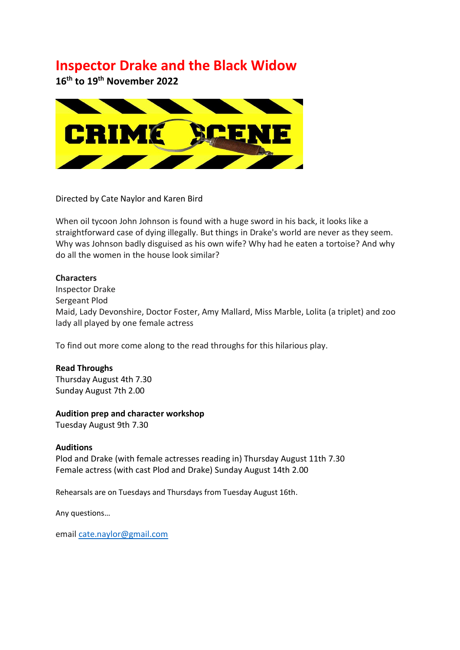## **Inspector Drake and the Black Widow**

**16th to 19th November 2022**



#### Directed by Cate Naylor and Karen Bird

When oil tycoon John Johnson is found with a huge sword in his back, it looks like a straightforward case of dying illegally. But things in Drake's world are never as they seem. Why was Johnson badly disguised as his own wife? Why had he eaten a tortoise? And why do all the women in the house look similar?

#### **Characters**

Inspector Drake Sergeant Plod Maid, Lady Devonshire, Doctor Foster, Amy Mallard, Miss Marble, Lolita (a triplet) and zoo lady all played by one female actress

To find out more come along to the read throughs for this hilarious play.

#### **Read Throughs**

Thursday August 4th 7.30 Sunday August 7th 2.00

#### **Audition prep and character workshop**

Tuesday August 9th 7.30

#### **Auditions**

Plod and Drake (with female actresses reading in) Thursday August 11th 7.30 Female actress (with cast Plod and Drake) Sunday August 14th 2.00

Rehearsals are on Tuesdays and Thursdays from Tuesday August 16th.

Any questions…

email [cate.naylor@gmail.com](mailto:cate.naylor@gmail.com)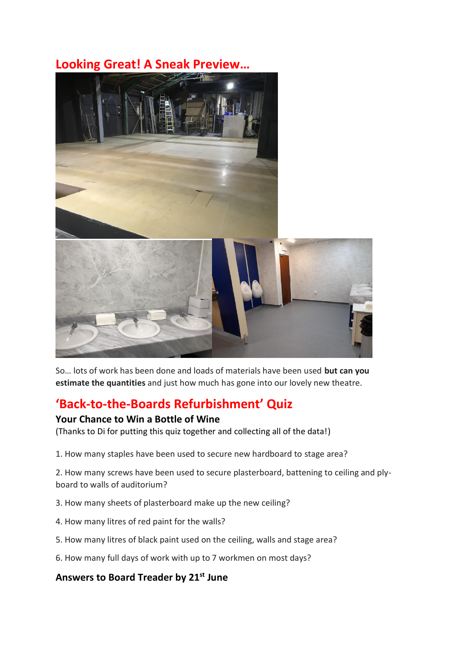### **Looking Great! A Sneak Preview…**



So… lots of work has been done and loads of materials have been used **but can you estimate the quantities** and just how much has gone into our lovely new theatre.

## **'Back-to-the-Boards Refurbishment' Quiz**

#### **Your Chance to Win a Bottle of Wine**

(Thanks to Di for putting this quiz together and collecting all of the data!)

1. How many staples have been used to secure new hardboard to stage area?

2. How many screws have been used to secure plasterboard, battening to ceiling and plyboard to walls of auditorium?

- 3. How many sheets of plasterboard make up the new ceiling?
- 4. How many litres of red paint for the walls?
- 5. How many litres of black paint used on the ceiling, walls and stage area?
- 6. How many full days of work with up to 7 workmen on most days?

### **Answers to Board Treader by 21st June**